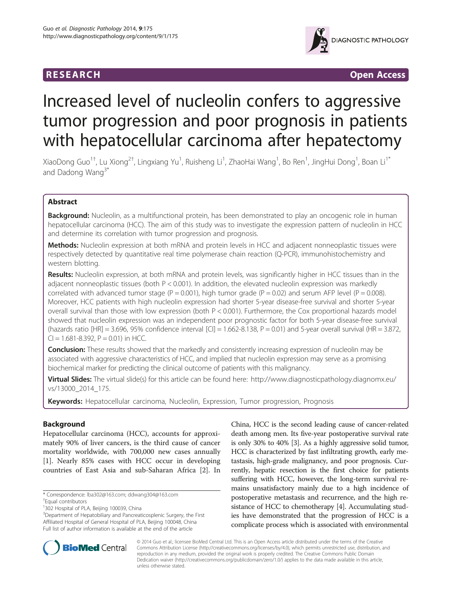

**RESEARCH RESEARCH** *CHECKER CHECKER CHECKER CHECKER CHECKER CHECKER CHECKER CHECKER CHECKER CHECKER CHECKER* 

# Increased level of nucleolin confers to aggressive tumor progression and poor prognosis in patients with hepatocellular carcinoma after hepatectomy

XiaoDong Guo<sup>1†</sup>, Lu Xiong<sup>2†</sup>, Lingxiang Yu<sup>1</sup>, Ruisheng Li<sup>1</sup>, ZhaoHai Wang<sup>1</sup>, Bo Ren<sup>1</sup>, JingHui Dong<sup>1</sup>, Boan Li<sup>1\*</sup> and Dadong Wang<sup>3\*</sup>

# Abstract

Background: Nucleolin, as a multifunctional protein, has been demonstrated to play an oncogenic role in human hepatocellular carcinoma (HCC). The aim of this study was to investigate the expression pattern of nucleolin in HCC and determine its correlation with tumor progression and prognosis.

Methods: Nucleolin expression at both mRNA and protein levels in HCC and adjacent nonneoplastic tissues were respectively detected by quantitative real time polymerase chain reaction (Q-PCR), immunohistochemistry and western blotting.

Results: Nucleolin expression, at both mRNA and protein levels, was significantly higher in HCC tissues than in the adjacent nonneoplastic tissues (both P < 0.001). In addition, the elevated nucleolin expression was markedly correlated with advanced tumor stage (P = 0.001), high tumor grade (P = 0.02) and serum AFP level (P = 0.008). Moreover, HCC patients with high nucleolin expression had shorter 5-year disease-free survival and shorter 5-year overall survival than those with low expression (both P < 0.001). Furthermore, the Cox proportional hazards model showed that nucleolin expression was an independent poor prognostic factor for both 5-year disease-free survival (hazards ratio  $[HR] = 3.696$ , 95% confidence interval  $[CI] = 1.662-8.138$ ,  $P = 0.01$ ) and 5-year overall survival (HR = 3.872,  $Cl = 1.681 - 8.392$ ,  $P = 0.01$ ) in HCC.

**Conclusion:** These results showed that the markedly and consistently increasing expression of nucleolin may be associated with aggressive characteristics of HCC, and implied that nucleolin expression may serve as a promising biochemical marker for predicting the clinical outcome of patients with this malignancy.

Virtual Slides: The virtual slide(s) for this article can be found here: [http://www.diagnosticpathology.diagnomx.eu/](http://www.diagnosticpathology.diagnomx.eu/vs/13000_2014_175) [vs/13000\\_2014\\_175.](http://www.diagnosticpathology.diagnomx.eu/vs/13000_2014_175)

Keywords: Hepatocellular carcinoma, Nucleolin, Expression, Tumor progression, Prognosis

# Background

Hepatocellular carcinoma (HCC), accounts for approximately 90% of liver cancers, is the third cause of cancer mortality worldwide, with 700,000 new cases annually [[1\]](#page-5-0). Nearly 85% cases with HCC occur in developing countries of East Asia and sub-Saharan Africa [[2](#page-5-0)]. In

China, HCC is the second leading cause of cancer-related death among men. Its five-year postoperative survival rate is only 30% to 40% [[3\]](#page-5-0). As a highly aggressive solid tumor, HCC is characterized by fast infiltrating growth, early metastasis, high-grade malignancy, and poor prognosis. Currently, hepatic resection is the first choice for patients suffering with HCC, however, the long-term survival remains unsatisfactory mainly due to a high incidence of postoperative metastasis and recurrence, and the high resistance of HCC to chemotherapy [\[4](#page-5-0)]. Accumulating studies have demonstrated that the progression of HCC is a complicate process which is associated with environmental



© 2014 Guo et al.; licensee BioMed Central Ltd. This is an Open Access article distributed under the terms of the Creative Commons Attribution License [\(http://creativecommons.org/licenses/by/4.0\)](http://creativecommons.org/licenses/by/4.0), which permits unrestricted use, distribution, and reproduction in any medium, provided the original work is properly credited. The Creative Commons Public Domain Dedication waiver [\(http://creativecommons.org/publicdomain/zero/1.0/](http://creativecommons.org/publicdomain/zero/1.0/)) applies to the data made available in this article, unless otherwise stated.

<sup>\*</sup> Correspondence: [lba302@163.com](mailto:lba302@163.com); [ddwang304@163.com](mailto:ddwang304@163.com) †

Equal contributors

<sup>&</sup>lt;sup>1</sup>302 Hospital of PLA, Beijing 100039, China

<sup>&</sup>lt;sup>3</sup>Department of Hepatobiliary and Pancreaticosplenic Surgery, the First Affiliated Hospital of General Hospital of PLA, Beijing 100048, China Full list of author information is available at the end of the article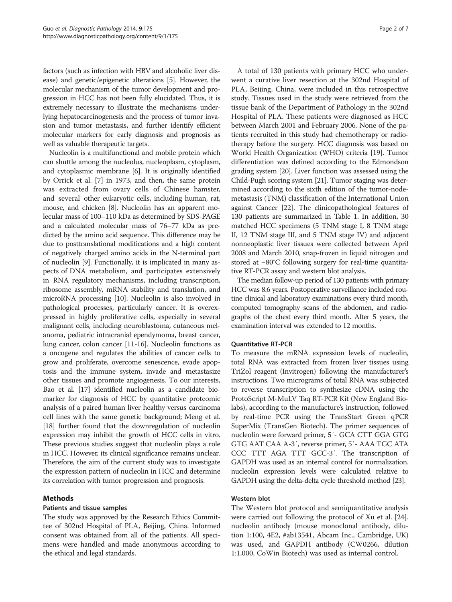factors (such as infection with HBV and alcoholic liver disease) and genetic/epigenetic alterations [\[5\]](#page-5-0). However, the molecular mechanism of the tumor development and progression in HCC has not been fully elucidated. Thus, it is extremely necessary to illustrate the mechanisms underlying hepatocarcinogenesis and the process of tumor invasion and tumor metastasis, and further identify efficient molecular markers for early diagnosis and prognosis as well as valuable therapeutic targets.

Nucleolin is a multifunctional and mobile protein which can shuttle among the nucleolus, nucleoplasm, cytoplasm, and cytoplasmic membrane [\[6](#page-5-0)]. It is originally identified by Orrick et al. [\[7\]](#page-5-0) in 1973, and then, the same protein was extracted from ovary cells of Chinese hamster, and several other eukaryotic cells, including human, rat, mouse, and chicken [\[8\]](#page-6-0). Nucleolin has an apparent molecular mass of 100–110 kDa as determined by SDS-PAGE and a calculated molecular mass of 76–77 kDa as predicted by the amino acid sequence. This difference may be due to posttranslational modifications and a high content of negatively charged amino acids in the N-terminal part of nucleolin [\[9\]](#page-6-0). Functionally, it is implicated in many aspects of DNA metabolism, and participates extensively in RNA regulatory mechanisms, including transcription, ribosome assembly, mRNA stability and translation, and microRNA processing [[10](#page-6-0)]. Nucleolin is also involved in pathological processes, particularly cancer. It is overexpressed in highly proliferative cells, especially in several malignant cells, including neuroblastoma, cutaneous melanoma, pediatric intracranial ependymoma, breast cancer, lung cancer, colon cancer [[11](#page-6-0)-[16](#page-6-0)]. Nucleolin functions as a oncogene and regulates the abilities of cancer cells to grow and proliferate, overcome senescence, evade apoptosis and the immune system, invade and metastasize other tissues and promote angiogenesis. To our interests, Bao et al. [\[17\]](#page-6-0) identified nucleolin as a candidate biomarker for diagnosis of HCC by quantitative proteomic analysis of a paired human liver healthy versus carcinoma cell lines with the same genetic background; Meng et al. [[18](#page-6-0)] further found that the downregulation of nucleolin expression may inhibit the growth of HCC cells in vitro. These previous studies suggest that nucleolin plays a role in HCC. However, its clinical significance remains unclear. Therefore, the aim of the current study was to investigate the expression pattern of nucleolin in HCC and determine its correlation with tumor progression and prognosis.

# Methods

# Patients and tissue samples

The study was approved by the Research Ethics Committee of 302nd Hospital of PLA, Beijing, China. Informed consent was obtained from all of the patients. All specimens were handled and made anonymous according to the ethical and legal standards.

A total of 130 patients with primary HCC who underwent a curative liver resection at the 302nd Hospital of PLA, Beijing, China, were included in this retrospective study. Tissues used in the study were retrieved from the tissue bank of the Department of Pathology in the 302nd Hospital of PLA. These patients were diagnosed as HCC between March 2001 and February 2006. None of the patients recruited in this study had chemotherapy or radiotherapy before the surgery. HCC diagnosis was based on World Health Organization (WHO) criteria [\[19](#page-6-0)]. Tumor differentiation was defined according to the Edmondson grading system [[20](#page-6-0)]. Liver function was assessed using the Child-Pugh scoring system [[21\]](#page-6-0). Tumor staging was determined according to the sixth edition of the tumor-nodemetastasis (TNM) classification of the International Union against Cancer [\[22\]](#page-6-0). The clinicopathological features of 130 patients are summarized in Table [1](#page-2-0). In addition, 30 matched HCC specimens (5 TNM stage I, 8 TNM stage II, 12 TNM stage III, and 5 TNM stage IV) and adjacent nonneoplastic liver tissues were collected between April 2008 and March 2010, snap-frozen in liquid nitrogen and stored at −80°C following surgery for real-time quantitative RT-PCR assay and western blot analysis.

The median follow-up period of 130 patients with primary HCC was 8.6 years. Postoperative surveillance included routine clinical and laboratory examinations every third month, computed tomography scans of the abdomen, and radiographs of the chest every third month. After 5 years, the examination interval was extended to 12 months.

# Quantitative RT-PCR

To measure the mRNA expression levels of nucleolin, total RNA was extracted from frozen liver tissues using TriZol reagent (Invitrogen) following the manufacturer's instructions. Two micrograms of total RNA was subjected to reverse transcription to synthesize cDNA using the ProtoScript M-MuLV Taq RT-PCR Kit (New England Biolabs), according to the manufacture's instruction, followed by real-time PCR using the TransStart Green qPCR SuperMix (TransGen Biotech). The primer sequences of nucleolin were forward primer, 5′- GCA CTT GGA GTG GTG AAT CAA A-3′, reverse primer, 5′- AAA TGC ATA CCC TTT AGA TTT GCC-3′. The transcription of GAPDH was used as an internal control for normalization. nucleolin expression levels were calculated relative to GAPDH using the delta-delta cycle threshold method [\[23\]](#page-6-0).

# Western blot

The Western blot protocol and semiquantitative analysis were carried out following the protocol of Xu et al. [\[24](#page-6-0)]. nucleolin antibody (mouse monoclonal antibody, dilution 1:100, 4E2, #ab13541, Abcam Inc., Cambridge, UK) was used, and GAPDH antibody (CW0266, dilution 1:1,000, CoWin Biotech) was used as internal control.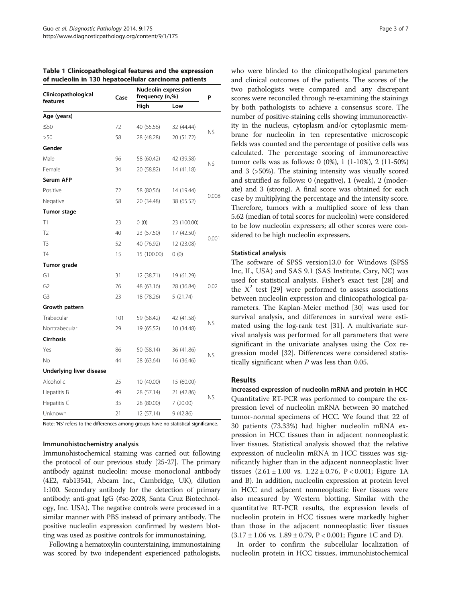<span id="page-2-0"></span>

| Table 1 Clinicopathological features and the expression |  |
|---------------------------------------------------------|--|
| of nucleolin in 130 hepatocellular carcinoma patients   |  |

| Clinicopathological      | Case | <b>Nucleolin expression</b><br>frequency (n,%) |             | P         |  |
|--------------------------|------|------------------------------------------------|-------------|-----------|--|
| features                 |      | High                                           | Low         |           |  |
| Age (years)              |      |                                                |             |           |  |
| $\leq 50$                | 72   | 40 (55.56)                                     | 32 (44.44)  |           |  |
| >50                      | 58   | 28 (48.28)                                     | 20 (51.72)  | ΝS        |  |
| Gender                   |      |                                                |             |           |  |
| Male                     | 96   | 58 (60.42)                                     | 42 (39.58)  | NS.       |  |
| Female                   | 34   | 20 (58.82)                                     | 14 (41.18)  |           |  |
| Serum AFP                |      |                                                |             |           |  |
| Positive                 | 72   | 58 (80.56)                                     | 14 (19.44)  | 0.008     |  |
| Negative                 | 58   | 20 (34.48)                                     | 38 (65.52)  |           |  |
| Tumor stage              |      |                                                |             |           |  |
| T1                       | 23   | 0(0)                                           | 23 (100.00) |           |  |
| T <sub>2</sub>           | 40   | 23 (57.50)                                     | 17 (42.50)  |           |  |
| T <sub>3</sub>           | 52   | 40 (76.92)                                     | 12 (23.08)  | 0.001     |  |
| T <sub>4</sub>           | 15   | 15 (100.00)                                    | 0(0)        |           |  |
| Tumor grade              |      |                                                |             |           |  |
| G1                       | 31   | 12 (38.71)                                     | 19 (61.29)  |           |  |
| G <sub>2</sub>           | 76   | 48 (63.16)                                     | 28 (36.84)  | 0.02      |  |
| G <sub>3</sub>           | 23   | 18 (78.26)                                     | 5 (21.74)   |           |  |
| Growth pattern           |      |                                                |             |           |  |
| Trabecular               | 101  | 59 (58.42)                                     | 42 (41.58)  | NS.       |  |
| Nontrabecular            | 29   | 19 (65.52)                                     | 10 (34.48)  |           |  |
| <b>Cirrhosis</b>         |      |                                                |             |           |  |
| Yes                      | 86   | 50 (58.14)                                     | 36 (41.86)  | <b>NS</b> |  |
| No                       | 44   | 28 (63.64)                                     | 16 (36.46)  |           |  |
| Underlying liver disease |      |                                                |             |           |  |
| Alcoholic                | 25   | 10 (40.00)                                     | 15 (60.00)  |           |  |
| Hepatitis B              | 49   | 28 (57.14)                                     | 21 (42.86)  |           |  |
| Hepatitis C              | 35   | 28 (80.00)                                     | 7(20.00)    | <b>NS</b> |  |
| Unknown                  | 21   | 12 (57.14)                                     | 9(42.86)    |           |  |

Note: 'NS' refers to the differences among groups have no statistical significance.

#### Immunohistochemistry analysis

Immunohistochemical staining was carried out following the protocol of our previous study [\[25-27\]](#page-6-0). The primary antibody against nucleolin: mouse monoclonal antibody (4E2, #ab13541, Abcam Inc., Cambridge, UK), dilution 1:100. Secondary antibody for the detection of primary antibody: anti-goat IgG (#sc-2028, Santa Cruz Biotechnology, Inc. USA). The negative controls were processed in a similar manner with PBS instead of primary antibody. The positive nucleolin expression confirmed by western blotting was used as positive controls for immunostaining.

Following a hematoxylin counterstaining, immunostaining was scored by two independent experienced pathologists, who were blinded to the clinicopathological parameters and clinical outcomes of the patients. The scores of the two pathologists were compared and any discrepant scores were reconciled through re-examining the stainings by both pathologists to achieve a consensus score. The number of positive-staining cells showing immunoreactivity in the nucleus, cytoplasm and/or cytoplasmic membrane for nucleolin in ten representative microscopic fields was counted and the percentage of positive cells was calculated. The percentage scoring of immunoreactive tumor cells was as follows: 0 (0%), 1 (1-10%), 2 (11-50%) and 3 (>50%). The staining intensity was visually scored and stratified as follows: 0 (negative), 1 (weak), 2 (moderate) and 3 (strong). A final score was obtained for each case by multiplying the percentage and the intensity score. Therefore, tumors with a multiplied score of less than 5.62 (median of total scores for nucleolin) were considered to be low nucleolin expressers; all other scores were considered to be high nucleolin expressers.

#### Statistical analysis

The software of SPSS version13.0 for Windows (SPSS Inc, IL, USA) and SAS 9.1 (SAS Institute, Cary, NC) was used for statistical analysis. Fisher's exact test [\[28](#page-6-0)] and the  $X^2$  test [[29](#page-6-0)] were performed to assess associations between nucleolin expression and clinicopathological parameters. The Kaplan-Meier method [[30\]](#page-6-0) was used for survival analysis, and differences in survival were estimated using the log-rank test [\[31](#page-6-0)]. A multivariate survival analysis was performed for all parameters that were significant in the univariate analyses using the Cox regression model [\[32](#page-6-0)]. Differences were considered statistically significant when P was less than 0.05.

#### Results

Increased expression of nucleolin mRNA and protein in HCC Quantitative RT-PCR was performed to compare the expression level of nucleolin mRNA between 30 matched tumor-normal specimens of HCC. We found that 22 of 30 patients (73.33%) had higher nucleolin mRNA expression in HCC tissues than in adjacent nonneoplastic liver tissues. Statistical analysis showed that the relative expression of nucleolin mRNA in HCC tissues was significantly higher than in the adjacent nonneoplastic liver tissues  $(2.61 \pm 1.00 \text{ vs. } 1.22 \pm 0.76, \text{ P} < 0.001; \text{ Figure } 1 \text{A})$ and B). In addition, nucleolin expression at protein level in HCC and adjacent nonneoplastic liver tissues were also measured by Western blotting. Similar with the quantitative RT-PCR results, the expression levels of nucleolin protein in HCC tissues were markedly higher than those in the adjacent nonneoplastic liver tissues  $(3.17 \pm 1.06 \text{ vs. } 1.89 \pm 0.79, P < 0.001$  $(3.17 \pm 1.06 \text{ vs. } 1.89 \pm 0.79, P < 0.001$  $(3.17 \pm 1.06 \text{ vs. } 1.89 \pm 0.79, P < 0.001$ ; Figure 1C and D).

In order to confirm the subcellular localization of nucleolin protein in HCC tissues, immunohistochemical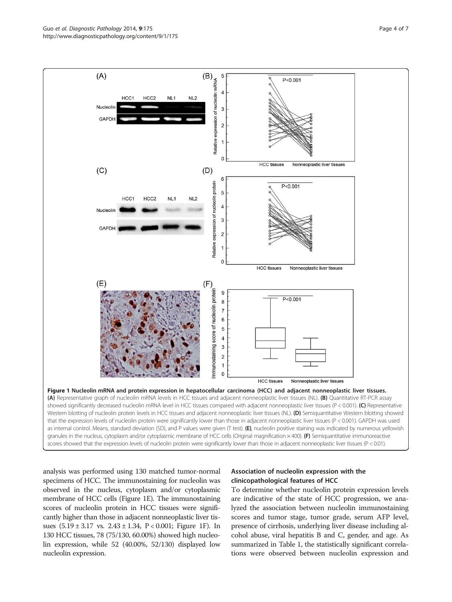<span id="page-3-0"></span>Guo et *al. Diagnostic Pathology 2*014, **9**:175 Page 4 of 7<br>http://www.diagnosticpathology.org/content/9/1/175 Page 4 of 7



analysis was performed using 130 matched tumor-normal specimens of HCC. The immunostaining for nucleolin was observed in the nucleus, cytoplasm and/or cytoplasmic membrane of HCC cells (Figure 1E). The immunostaining scores of nucleolin protein in HCC tissues were significantly higher than those in adjacent nonneoplastic liver tissues (5.19 ± 3.17 vs. 2.43 ± 1.34, P < 0.001; Figure 1F). In 130 HCC tissues, 78 (75/130, 60.00%) showed high nucleolin expression, while 52 (40.00%, 52/130) displayed low nucleolin expression.

# Association of nucleolin expression with the clinicopathological features of HCC

To determine whether nucleolin protein expression levels are indicative of the state of HCC progression, we analyzed the association between nucleolin immunostaining scores and tumor stage, tumor grade, serum AFP level, presence of cirrhosis, underlying liver disease including alcohol abuse, viral hepatitis B and C, gender, and age. As summarized in Table [1,](#page-2-0) the statistically significant correlations were observed between nucleolin expression and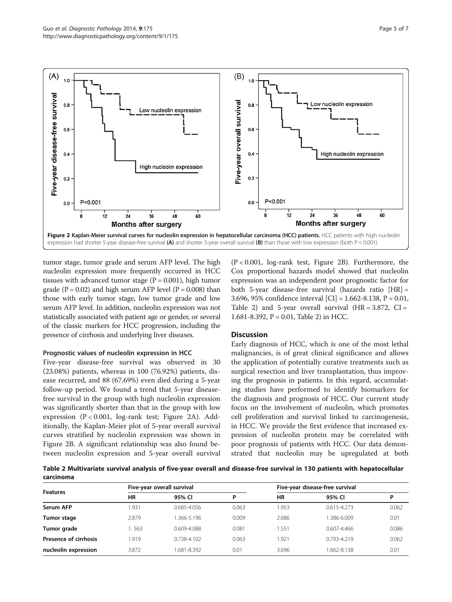

tumor stage, tumor grade and serum AFP level. The high nucleolin expression more frequently occurred in HCC tissues with advanced tumor stage  $(P = 0.001)$ , high tumor grade ( $P = 0.02$ ) and high serum AFP level ( $P = 0.008$ ) than those with early tumor stage, low tumor grade and low serum AFP level. In addition, nucleolin expression was not statistically associated with patient age or gender, or several of the classic markers for HCC progression, including the presence of cirrhosis and underlying liver diseases.

# Prognostic values of nucleolin expression in HCC

Five-year disease-free survival was observed in 30 (23.08%) patients, whereas in 100 (76.92%) patients, disease recurred, and 88 (67.69%) even died during a 5-year follow-up period. We found a trend that 5-year diseasefree survival in the group with high nucleolin expression was significantly shorter than that in the group with low expression (P < 0.001, log-rank test; Figure 2A). Additionally, the Kaplan-Meier plot of 5-year overall survival curves stratified by nucleolin expression was shown in Figure 2B. A significant relationship was also found between nucleolin expression and 5-year overall survival (P < 0.001, log-rank test, Figure 2B). Furthermore, the Cox proportional hazards model showed that nucleolin expression was an independent poor prognostic factor for both 5-year disease-free survival (hazards ratio [HR] = 3.696, 95% confidence interval [CI] = 1.662-8.138, P = 0.01, Table 2) and 5-year overall survival  $(HR = 3.872, CI =$ 1.681-8.392, P = 0.01, Table 2) in HCC.

# **Discussion**

Early diagnosis of HCC, which is one of the most lethal malignancies, is of great clinical significance and allows the application of potentially curative treatments such as surgical resection and liver transplantation, thus improving the prognosis in patients. In this regard, accumulating studies have performed to identify biomarkers for the diagnosis and prognosis of HCC. Our current study focus on the involvement of nucleolin, which promotes cell proliferation and survival linked to carcinogenesis, in HCC. We provide the first evidence that increased expression of nucleolin protein may be correlated with poor prognosis of patients with HCC. Our data demonstrated that nucleolin may be upregulated at both

Table 2 Multivariate survival analysis of five-year overall and disease-free survival in 130 patients with hepatocellular carcinoma

| <b>Features</b>       | Five-year overall survival |             |       | Five-year disease-free survival |                 |       |
|-----------------------|----------------------------|-------------|-------|---------------------------------|-----------------|-------|
|                       | HR                         | 95% CI      | D     | HR                              | 95% CI          | D     |
| Serum AFP             | .931                       | 0.685-4.056 | 0.063 | 1.953                           | $0.615 - 4.273$ | 0.062 |
| Tumor stage           | 2.879                      | 1.366-5.196 | 0.009 | 2.686                           | .386-6.009      | 0.01  |
| Tumor grade           | .563                       | 0.609-4.088 | 0.081 | .551                            | $0.607 - 4.466$ | 0.086 |
| Presence of cirrhosis | 1.919                      | 0.738-4.102 | 0.063 | 1.921                           | 0.793-4.219     | 0.062 |
| nucleolin expression  | 3.872                      | 1.681-8.392 | 0.01  | 3.696                           | .662-8.138      | 0.01  |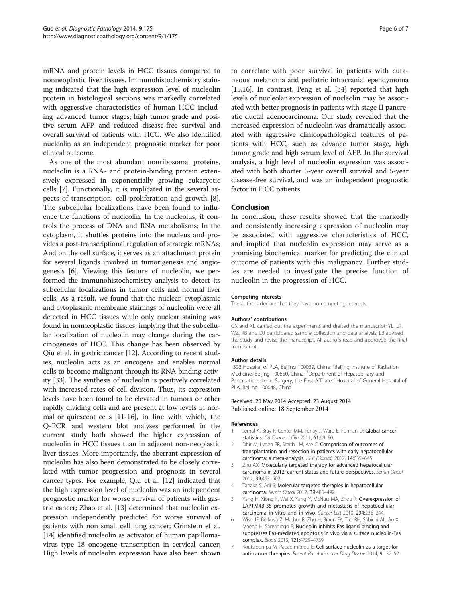<span id="page-5-0"></span>mRNA and protein levels in HCC tissues compared to nonneoplastic liver tissues. Immunohistochemistry staining indicated that the high expression level of nucleolin protein in histological sections was markedly correlated with aggressive characteristics of human HCC including advanced tumor stages, high tumor grade and positive serum AFP, and reduced disease-free survival and overall survival of patients with HCC. We also identified nucleolin as an independent prognostic marker for poor clinical outcome.

As one of the most abundant nonribosomal proteins, nucleolin is a RNA- and protein-binding protein extensively expressed in exponentially growing eukaryotic cells [7]. Functionally, it is implicated in the several aspects of transcription, cell proliferation and growth [\[8](#page-6-0)]. The subcellular localizations have been found to influence the functions of nucleolin. In the nucleolus, it controls the process of DNA and RNA metabolisms; In the cytoplasm, it shuttles proteins into the nucleus and provides a post-transcriptional regulation of strategic mRNAs; And on the cell surface, it serves as an attachment protein for several ligands involved in tumorigenesis and angiogenesis [6]. Viewing this feature of nucleolin, we performed the immunohistochemistry analysis to detect its subcellular localizations in tumor cells and normal liver cells. As a result, we found that the nuclear, cytoplasmic and cytoplasmic membrane stainings of nucleolin were all detected in HCC tissues while only nuclear staining was found in nonneoplastic tissues, implying that the subcellular localization of nucleolin may change during the carcinogenesis of HCC. This change has been observed by Qiu et al. in gastric cancer [[12](#page-6-0)]. According to recent studies, nucleolin acts as an oncogene and enables normal cells to become malignant through its RNA binding activity [[33\]](#page-6-0). The synthesis of nucleolin is positively correlated with increased rates of cell division. Thus, its expression levels have been found to be elevated in tumors or other rapidly dividing cells and are present at low levels in normal or quiescent cells [\[11-16](#page-6-0)], in line with which, the Q-PCR and western blot analyses performed in the current study both showed the higher expression of nucleolin in HCC tissues than in adjacent non-neoplastic liver tissues. More importantly, the aberrant expression of nucleolin has also been demonstrated to be closely correlated with tumor progression and prognosis in several cancer types. For example, Qiu et al. [\[12](#page-6-0)] indicated that the high expression level of nucleolin was an independent prognostic marker for worse survival of patients with gastric cancer; Zhao et al. [\[13\]](#page-6-0) determined that nucleolin expression independently predicted for worse survival of patients with non small cell lung cancer; Grinstein et al. [[14](#page-6-0)] identified nucleolin as activator of human papillomavirus type 18 oncogene transcription in cervical cancer; High levels of nucleolin expression have also been shown

to correlate with poor survival in patients with cutaneous melanoma and pediatric intracranial ependymoma [[15](#page-6-0),[16](#page-6-0)]. In contrast, Peng et al. [\[34](#page-6-0)] reported that high levels of nucleolar expression of nucleolin may be associated with better prognosis in patients with stage II pancreatic ductal adenocarcinoma. Our study revealed that the increased expression of nucleolin was dramatically associated with aggressive clinicopathological features of patients with HCC, such as advance tumor stage, high tumor grade and high serum level of AFP. In the survival analysis, a high level of nucleolin expression was associated with both shorter 5-year overall survival and 5-year disease-free survival, and was an independent prognostic factor in HCC patients.

#### Conclusion

In conclusion, these results showed that the markedly and consistently increasing expression of nucleolin may be associated with aggressive characteristics of HCC, and implied that nucleolin expression may serve as a promising biochemical marker for predicting the clinical outcome of patients with this malignancy. Further studies are needed to investigate the precise function of nucleolin in the progression of HCC.

#### Competing interests

The authors declare that they have no competing interests.

#### Authors' contributions

GX and XL carried out the experiments and drafted the manuscript; YL, LR, WZ, RB and DJ participated sample collection and data analysis; LB advised the study and revise the manuscript. All authors read and approved the final manuscript.

#### Author details

<sup>1</sup>302 Hospital of PLA, Beijing 100039, China. <sup>2</sup>Beijing Institute of Radiation Medicine, Beijing 100850, China. <sup>3</sup>Department of Hepatobiliary and Pancreaticosplenic Surgery, the First Affiliated Hospital of General Hospital of PLA, Beijing 100048, China.

#### Received: 20 May 2014 Accepted: 23 August 2014 Published online: 18 September 2014

#### References

- Jemal A, Bray F, Center MM, Ferlay J, Ward E, Forman D: Global cancer statistics. CA Cancer J Clin 2011, 61:69–90.
- Dhir M, Lyden ER, Smith LM, Are C: Comparison of outcomes of transplantation and resection in patients with early hepatocellular carcinoma: a meta-analysis. HPB (Oxford) 2012, 14:635–645.
- 3. Zhu AX: Molecularly targeted therapy for advanced hepatocellular carcinoma in 2012: current status and future perspectives. Semin Oncol 2012, 39:493–502.
- 4. Tanaka S, Arii S: Molecular targeted therapies in hepatocellular carcinoma. Semin Oncol 2012, 39:486–492.
- Yang H, Xiong F, Wei X, Yang Y, McNutt MA, Zhou R: Overexpression of LAPTM4B-35 promotes growth and metastasis of hepatocellular carcinoma in vitro and in vivo. Cancer Lett 2010, 294:236–244.
- 6. Wise JF, Berkova Z, Mathur R, Zhu H, Braun FK, Tao RH, Sabichi AL, Ao X, Maeng H, Samaniego F: Nucleolin inhibits Fas ligand binding and suppresses Fas-mediated apoptosis in vivo via a surface nucleolin-Fas complex. Blood 2013, 121:4729–4739.
- 7. Koutsioumpa M, Papadimitriou E: Cell surface nucleolin as a target for anti-cancer therapies. Recent Pat Anticancer Drug Discov 2014, 9:137. 52.